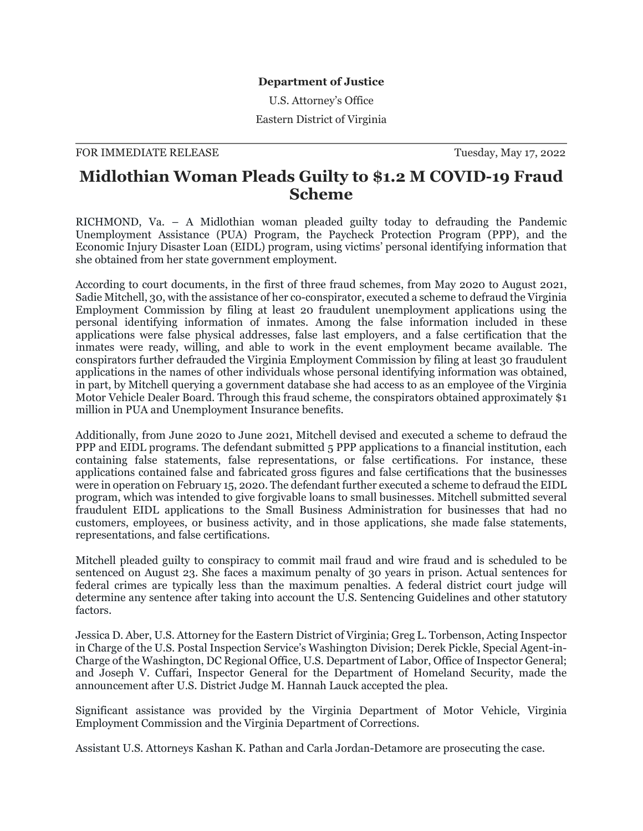## **Department of Justice**

U.S. Attorney's Office

Eastern District of Virginia

## FOR IMMEDIATE RELEASE TUESDAY, May 17, 2022

## **Midlothian Woman Pleads Guilty to \$1.2 M COVID-19 Fraud Scheme**

RICHMOND, Va. – A Midlothian woman pleaded guilty today to defrauding the Pandemic Unemployment Assistance (PUA) Program, the Paycheck Protection Program (PPP), and the Economic Injury Disaster Loan (EIDL) program, using victims' personal identifying information that she obtained from her state government employment.

According to court documents, in the first of three fraud schemes, from May 2020 to August 2021, Sadie Mitchell, 30, with the assistance of her co-conspirator, executed a scheme to defraud the Virginia Employment Commission by filing at least 20 fraudulent unemployment applications using the personal identifying information of inmates. Among the false information included in these applications were false physical addresses, false last employers, and a false certification that the inmates were ready, willing, and able to work in the event employment became available. The conspirators further defrauded the Virginia Employment Commission by filing at least 30 fraudulent applications in the names of other individuals whose personal identifying information was obtained, in part, by Mitchell querying a government database she had access to as an employee of the Virginia Motor Vehicle Dealer Board. Through this fraud scheme, the conspirators obtained approximately \$1 million in PUA and Unemployment Insurance benefits.

Additionally, from June 2020 to June 2021, Mitchell devised and executed a scheme to defraud the PPP and EIDL programs. The defendant submitted 5 PPP applications to a financial institution, each containing false statements, false representations, or false certifications. For instance, these applications contained false and fabricated gross figures and false certifications that the businesses were in operation on February 15, 2020. The defendant further executed a scheme to defraud the EIDL program, which was intended to give forgivable loans to small businesses. Mitchell submitted several fraudulent EIDL applications to the Small Business Administration for businesses that had no customers, employees, or business activity, and in those applications, she made false statements, representations, and false certifications.

Mitchell pleaded guilty to conspiracy to commit mail fraud and wire fraud and is scheduled to be sentenced on August 23. She faces a maximum penalty of 30 years in prison. Actual sentences for federal crimes are typically less than the maximum penalties. A federal district court judge will determine any sentence after taking into account the U.S. Sentencing Guidelines and other statutory factors.

Jessica D. Aber, U.S. Attorney for the Eastern District of Virginia; Greg L. Torbenson, Acting Inspector in Charge of the U.S. Postal Inspection Service's Washington Division; Derek Pickle, Special Agent-in-Charge of the Washington, DC Regional Office, U.S. Department of Labor, Office of Inspector General; and Joseph V. Cuffari, Inspector General for the Department of Homeland Security, made the announcement after U.S. District Judge M. Hannah Lauck accepted the plea.

Significant assistance was provided by the Virginia Department of Motor Vehicle, Virginia Employment Commission and the Virginia Department of Corrections.

Assistant U.S. Attorneys Kashan K. Pathan and Carla Jordan-Detamore are prosecuting the case.